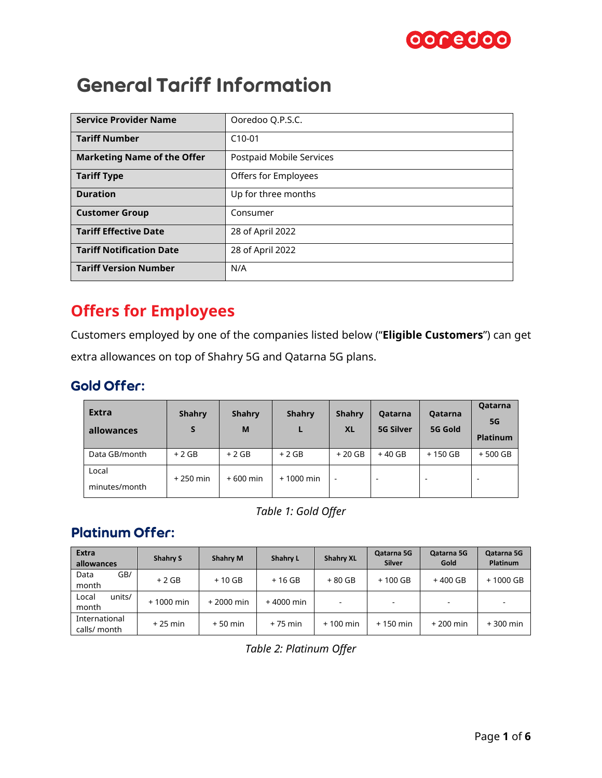

# General Tariff Information

| <b>Service Provider Name</b>       | Ooredoo Q.P.S.C.         |
|------------------------------------|--------------------------|
| <b>Tariff Number</b>               | $C10-01$                 |
| <b>Marketing Name of the Offer</b> | Postpaid Mobile Services |
| <b>Tariff Type</b>                 | Offers for Employees     |
| <b>Duration</b>                    | Up for three months      |
| <b>Customer Group</b>              | Consumer                 |
| <b>Tariff Effective Date</b>       | 28 of April 2022         |
| <b>Tariff Notification Date</b>    | 28 of April 2022         |
| <b>Tariff Version Number</b>       | N/A                      |

# **Offers for Employees**

Customers employed by one of the companies listed below ("**Eligible Customers**") can get extra allowances on top of Shahry 5G and Qatarna 5G plans.

#### Gold Offer:

| <b>Extra</b><br>allowances | <b>Shahry</b> | <b>Shahry</b><br>M | <b>Shahry</b><br>L | Shahry<br><b>XL</b>      | Qatarna<br><b>5G Silver</b> | Qatarna<br>5G Gold | Qatarna<br><b>5G</b><br><b>Platinum</b> |
|----------------------------|---------------|--------------------|--------------------|--------------------------|-----------------------------|--------------------|-----------------------------------------|
| Data GB/month              | $+2$ GB       | $+2$ GB            | $+2$ GB            | $+20$ GB                 | $+40$ GB                    | $+150$ GB          | $+500$ GB                               |
| Local<br>minutes/month     | $+250$ min    | $+600$ min         | $+1000$ min        | $\overline{\phantom{a}}$ | -                           |                    |                                         |

*Table 1: Gold Offer*

### Platinum Offer:

| <b>Extra</b><br>allowances    | <b>Shahry S</b> | <b>Shahry M</b> | <b>Shahrv L</b> | <b>Shahry XL</b> | Qatarna 5G<br><b>Silver</b> | Qatarna 5G<br>Gold | Qatarna 5G<br>Platinum |
|-------------------------------|-----------------|-----------------|-----------------|------------------|-----------------------------|--------------------|------------------------|
| GB/<br>Data<br>month          | $+2GB$          | $+10$ GB        | $+16$ GB        | + 80 GB          | $+100$ GB                   | $+400$ GB          | $+1000$ GB             |
| Local<br>units/<br>month      | $+1000$ min     | $+2000$ min     | $+4000$ min     |                  | $\overline{\phantom{a}}$    |                    |                        |
| International<br>calls/ month | $+25$ min       | $+50$ min       | $+75$ min       | $+100$ min       | $+150$ min                  | $+200$ min         | $+300$ min             |

*Table 2: Platinum Offer*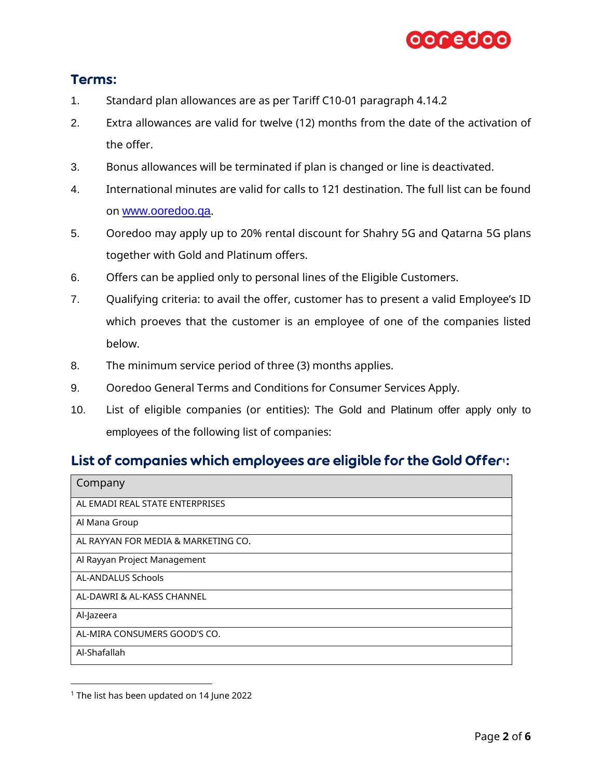

#### Terms:

- 1. Standard plan allowances are as per Tariff C10-01 paragraph 4.14.2
- 2. Extra allowances are valid for twelve (12) months from the date of the activation of the offer.
- 3. Bonus allowances will be terminated if plan is changed or line is deactivated.
- 4. International minutes are valid for calls to 121 destination. The full list can be found on [www.ooredoo.qa](http://www.ooredoo.qa/).
- 5. Ooredoo may apply up to 20% rental discount for Shahry 5G and Qatarna 5G plans together with Gold and Platinum offers.
- 6. Offers can be applied only to personal lines of the Eligible Customers.
- 7. Qualifying criteria: to avail the offer, customer has to present a valid Employee's ID which proeves that the customer is an employee of one of the companies listed below.
- 8. The minimum service period of three (3) months applies.
- 9. Ooredoo General Terms and Conditions for Consumer Services Apply.
- 10. List of eligible companies (or entities): The Gold and Platinum offer apply only to employees of the following list of companies:

### List of companies which employees are eligible for the Gold Offer<sup>1</sup>:

| Company                             |
|-------------------------------------|
| AL EMADI REAL STATE ENTERPRISES     |
| Al Mana Group                       |
| AL RAYYAN FOR MEDIA & MARKETING CO. |
| Al Rayyan Project Management        |
| <b>AL-ANDALUS Schools</b>           |
| AL-DAWRI & AL-KASS CHANNEL          |
| Al-Jazeera                          |
| AL-MIRA CONSUMERS GOOD'S CO.        |
| Al-Shafallah                        |

<sup>&</sup>lt;sup>1</sup> The list has been updated on 14 June 2022

l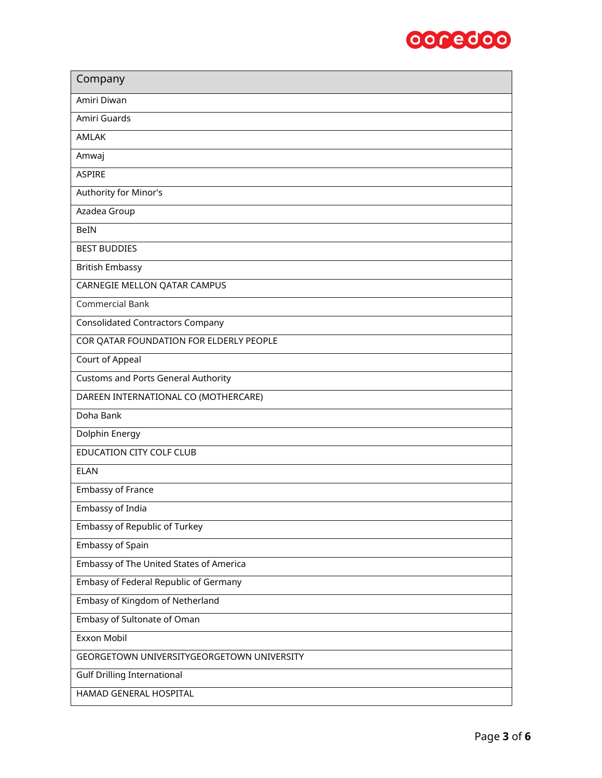

| Company                                    |
|--------------------------------------------|
| Amiri Diwan                                |
| Amiri Guards                               |
| AMLAK                                      |
| Amwaj                                      |
| <b>ASPIRE</b>                              |
| Authority for Minor's                      |
| Azadea Group                               |
| BeIN                                       |
| <b>BEST BUDDIES</b>                        |
| <b>British Embassy</b>                     |
| CARNEGIE MELLON QATAR CAMPUS               |
| <b>Commercial Bank</b>                     |
| <b>Consolidated Contractors Company</b>    |
| COR QATAR FOUNDATION FOR ELDERLY PEOPLE    |
| Court of Appeal                            |
| <b>Customs and Ports General Authority</b> |
| DAREEN INTERNATIONAL CO (MOTHERCARE)       |
| Doha Bank                                  |
| Dolphin Energy                             |
| <b>EDUCATION CITY COLF CLUB</b>            |
| <b>ELAN</b>                                |
| <b>Embassy of France</b>                   |
| Embassy of India                           |
| Embassy of Republic of Turkey              |
| Embassy of Spain                           |
| Embassy of The United States of America    |
| Embasy of Federal Republic of Germany      |
| Embasy of Kingdom of Netherland            |
| Embasy of Sultonate of Oman                |
| Exxon Mobil                                |
| GEORGETOWN UNIVERSITYGEORGETOWN UNIVERSITY |
| <b>Gulf Drilling International</b>         |
| HAMAD GENERAL HOSPITAL                     |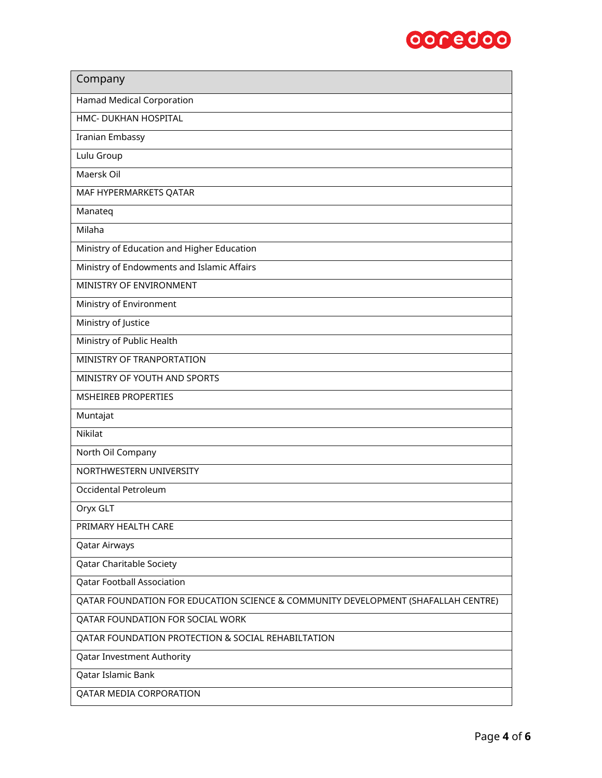

| Company                                                                           |
|-----------------------------------------------------------------------------------|
| <b>Hamad Medical Corporation</b>                                                  |
| HMC- DUKHAN HOSPITAL                                                              |
| <b>Iranian Embassy</b>                                                            |
| Lulu Group                                                                        |
| Maersk Oil                                                                        |
| MAF HYPERMARKETS QATAR                                                            |
| Manateq                                                                           |
| Milaha                                                                            |
| Ministry of Education and Higher Education                                        |
| Ministry of Endowments and Islamic Affairs                                        |
| MINISTRY OF ENVIRONMENT                                                           |
| Ministry of Environment                                                           |
| Ministry of Justice                                                               |
| Ministry of Public Health                                                         |
| MINISTRY OF TRANPORTATION                                                         |
| MINISTRY OF YOUTH AND SPORTS                                                      |
| <b>MSHEIREB PROPERTIES</b>                                                        |
| Muntajat                                                                          |
| Nikilat                                                                           |
| North Oil Company                                                                 |
| NORTHWESTERN UNIVERSITY                                                           |
| Occidental Petroleum                                                              |
| Oryx GLT                                                                          |
| PRIMARY HEALTH CARE                                                               |
| Qatar Airways                                                                     |
| Qatar Charitable Society                                                          |
| <b>Qatar Football Association</b>                                                 |
| QATAR FOUNDATION FOR EDUCATION SCIENCE & COMMUNITY DEVELOPMENT (SHAFALLAH CENTRE) |
| QATAR FOUNDATION FOR SOCIAL WORK                                                  |
| QATAR FOUNDATION PROTECTION & SOCIAL REHABILTATION                                |
| Qatar Investment Authority                                                        |
| Qatar Islamic Bank                                                                |
| QATAR MEDIA CORPORATION                                                           |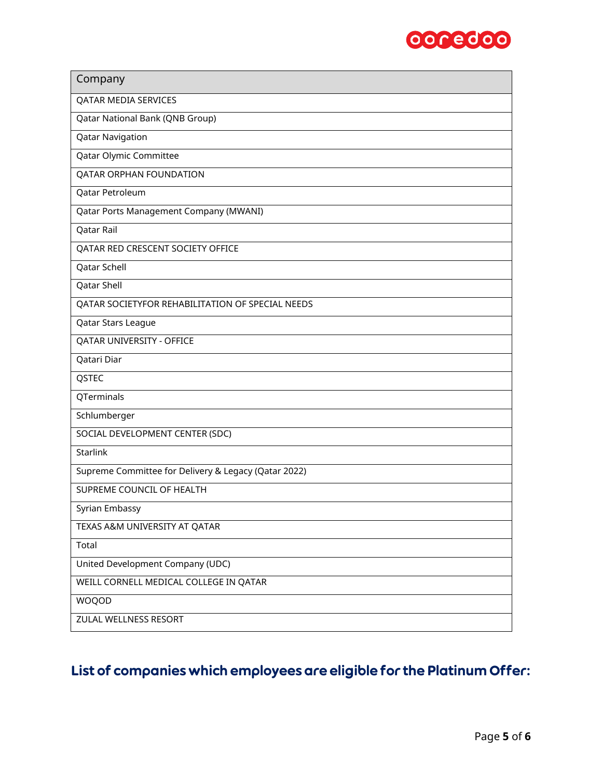

| Company                                              |
|------------------------------------------------------|
| QATAR MEDIA SERVICES                                 |
| Qatar National Bank (QNB Group)                      |
| <b>Qatar Navigation</b>                              |
| Qatar Olymic Committee                               |
| <b>QATAR ORPHAN FOUNDATION</b>                       |
| Qatar Petroleum                                      |
| Qatar Ports Management Company (MWANI)               |
| Qatar Rail                                           |
| QATAR RED CRESCENT SOCIETY OFFICE                    |
| Qatar Schell                                         |
| Qatar Shell                                          |
| QATAR SOCIETYFOR REHABILITATION OF SPECIAL NEEDS     |
| Qatar Stars League                                   |
| QATAR UNIVERSITY - OFFICE                            |
| Qatari Diar                                          |
| QSTEC                                                |
| QTerminals                                           |
| Schlumberger                                         |
| SOCIAL DEVELOPMENT CENTER (SDC)                      |
| <b>Starlink</b>                                      |
| Supreme Committee for Delivery & Legacy (Qatar 2022) |
| SUPREME COUNCIL OF HEALTH                            |
| Syrian Embassy                                       |
| TEXAS A&M UNIVERSITY AT QATAR                        |
| Total                                                |
| United Development Company (UDC)                     |
| WEILL CORNELL MEDICAL COLLEGE IN QATAR               |
| WOQOD                                                |
| ZULAL WELLNESS RESORT                                |

## List of companies which employees are eligible for the Platinum Offer: